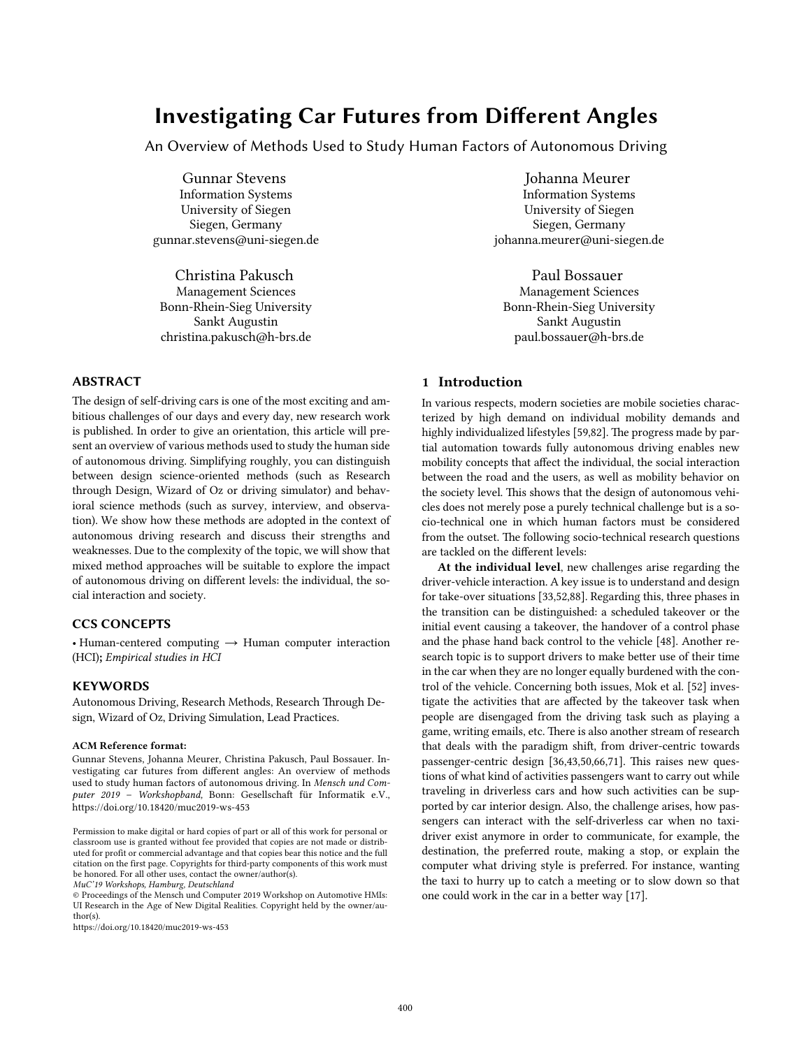# Investigating Car Futures from Different Angles

An Overview of Methods Used to Study Human Factors of Autonomous Driving

Gunnar Stevens Information Systems University of Siegen Siegen, Germany gunnar.stevens@uni-siegen.de

Christina Pakusch Management Sciences Bonn-Rhein-Sieg University Sankt Augustin christina.pakusch@h-brs.de

# ABSTRACT

The design of self-driving cars is one of the most exciting and ambitious challenges of our days and every day, new research work is published. In order to give an orientation, this article will present an overview of various methods used to study the human side of autonomous driving. Simplifying roughly, you can distinguish between design science-oriented methods (such as Research through Design, Wizard of Oz or driving simulator) and behavioral science methods (such as survey, interview, and observation). We show how these methods are adopted in the context of autonomous driving research and discuss their strengths and weaknesses. Due to the complexity of the topic, we will show that mixed method approaches will be suitable to explore the impact of autonomous driving on different levels: the individual, the social interaction and society.

## CCS CONCEPTS

• Human-centered computing  $\rightarrow$  Human computer interaction (HCI); *Empirical studies in HCI*

#### **KEYWORDS**

Autonomous Driving, Research Methods, Research Through Design, Wizard of Oz, Driving Simulation, Lead Practices.

#### ACM Reference format:

Gunnar Stevens, Johanna Meurer, Christina Pakusch, Paul Bossauer. Investigating car futures from different angles: An overview of methods used to study human factors of autonomous driving. In *Mensch und Com*puter 2019 - Workshopband, Bonn: Gesellschaft für Informatik e.V., https://doi.org/10.18420/muc2019-ws-453

https://doi.org/10.18420/muc2019-ws-453

## Johanna Meurer

Information Systems University of Siegen Siegen, Germany johanna.meurer@uni-siegen.de

Paul Bossauer Management Sciences Bonn-Rhein-Sieg University Sankt Augustin paul.bossauer@h-brs.de

# 1 Introduction

In various respects, modern societies are mobile societies characterized by high demand on individual mobility demands and highly individualized lifestyles [59,82]. The progress made by partial automation towards fully autonomous driving enables new mobility concepts that affect the individual, the social interaction between the road and the users, as well as mobility behavior on the society level. This shows that the design of autonomous vehicles does not merely pose a purely technical challenge but is a socio-technical one in which human factors must be considered from the outset. The following socio-technical research questions are tackled on the different levels:

At the individual level, new challenges arise regarding the driver-vehicle interaction. A key issue is to understand and design for take-over situations [33,52,88]. Regarding this, three phases in the transition can be distinguished: a scheduled takeover or the initial event causing a takeover, the handover of a control phase and the phase hand back control to the vehicle [48]. Another research topic is to support drivers to make beter use of their time in the car when they are no longer equally burdened with the control of the vehicle. Concerning both issues, Mok et al. [52] investigate the activities that are affected by the takeover task when people are disengaged from the driving task such as playing a game, writing emails, etc. There is also another stream of research that deals with the paradigm shif, from driver-centric towards passenger-centric design [36,43,50,66,71]. This raises new questions of what kind of activities passengers want to carry out while traveling in driverless cars and how such activities can be supported by car interior design. Also, the challenge arises, how passengers can interact with the self-driverless car when no taxidriver exist anymore in order to communicate, for example, the destination, the preferred route, making a stop, or explain the computer what driving style is preferred. For instance, wanting the taxi to hurry up to catch a meeting or to slow down so that one could work in the car in a beter way [17].

Permission to make digital or hard copies of part or all of this work for personal or classroom use is granted without fee provided that copies are not made or distributed for profit or commercial advantage and that copies bear this notice and the full citation on the first page. Copyrights for third-party components of this work must be honored. For all other uses, contact the owner/author(s). *MuC'19 Workshops, Hamburg, Deutschland* 

<sup>©</sup> Proceedings of the Mensch und Computer 2019 Workshop on Automotive HMIs: UI Research in the Age of New Digital Realities. Copyright held by the owner/author(s).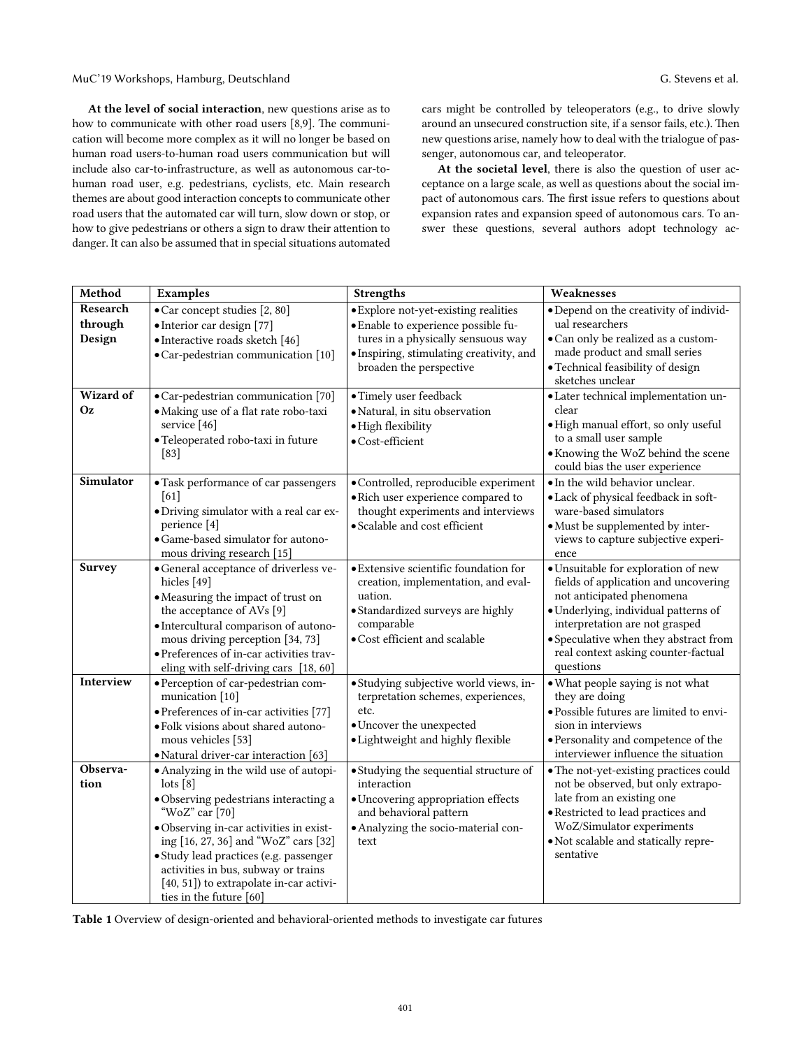At the level of social interaction, new questions arise as to how to communicate with other road users [8,9]. The communication will become more complex as it will no longer be based on human road users-to-human road users communication but will include also car-to-infrastructure, as well as autonomous car-tohuman road user, e.g. pedestrians, cyclists, etc. Main research themes are about good interaction concepts to communicate other road users that the automated car will turn, slow down or stop, or how to give pedestrians or others a sign to draw their atention to danger. It can also be assumed that in special situations automated

cars might be controlled by teleoperators (e.g., to drive slowly around an unsecured construction site, if a sensor fails, etc.). Then new questions arise, namely how to deal with the trialogue of passenger, autonomous car, and teleoperator.

At the societal level, there is also the question of user acceptance on a large scale, as well as questions about the social impact of autonomous cars. The first issue refers to questions about expansion rates and expansion speed of autonomous cars. To answer these questions, several authors adopt technology ac-

| Method                 | Examples                                                                                                                                                                                                                                                                                                                                                                 | <b>Strengths</b>                                                                                                                                                            | Weaknesses                                                                                                                                                                                                                                                                      |
|------------------------|--------------------------------------------------------------------------------------------------------------------------------------------------------------------------------------------------------------------------------------------------------------------------------------------------------------------------------------------------------------------------|-----------------------------------------------------------------------------------------------------------------------------------------------------------------------------|---------------------------------------------------------------------------------------------------------------------------------------------------------------------------------------------------------------------------------------------------------------------------------|
| Research<br>through    | · Car concept studies [2, 80]<br>· Interior car design [77]                                                                                                                                                                                                                                                                                                              | · Explore not-yet-existing realities<br>· Enable to experience possible fu-                                                                                                 | · Depend on the creativity of individ-<br>ual researchers                                                                                                                                                                                                                       |
| Design                 | · Interactive roads sketch [46]<br>• Car-pedestrian communication [10]                                                                                                                                                                                                                                                                                                   | tures in a physically sensuous way<br>· Inspiring, stimulating creativity, and<br>broaden the perspective                                                                   | · Can only be realized as a custom-<br>made product and small series<br>· Technical feasibility of design<br>sketches unclear                                                                                                                                                   |
| Wizard of<br><b>Oz</b> | •Car-pedestrian communication [70]<br>· Making use of a flat rate robo-taxi<br>service [46]<br>· Teleoperated robo-taxi in future<br>$[83]$                                                                                                                                                                                                                              | · Timely user feedback<br>· Natural, in situ observation<br>· High flexibility<br>$\bullet$ Cost-efficient                                                                  | ·Later technical implementation un-<br>clear<br>· High manual effort, so only useful<br>to a small user sample<br>• Knowing the WoZ behind the scene<br>could bias the user experience                                                                                          |
| <b>Simulator</b>       | • Task performance of car passengers<br>[61]<br>·Driving simulator with a real car ex-<br>perience [4]<br>· Game-based simulator for autono-<br>mous driving research [15]                                                                                                                                                                                               | · Controlled, reproducible experiment<br>· Rich user experience compared to<br>thought experiments and interviews<br>· Scalable and cost efficient                          | · In the wild behavior unclear.<br>· Lack of physical feedback in soft-<br>ware-based simulators<br>• Must be supplemented by inter-<br>views to capture subjective experi-<br>ence                                                                                             |
| Survey                 | • General acceptance of driverless ve-<br>hicles [49]<br>• Measuring the impact of trust on<br>the acceptance of AVs [9]<br>· Intercultural comparison of autono-<br>mous driving perception [34, 73]<br>· Preferences of in-car activities trav-<br>eling with self-driving cars [18, 60]                                                                               | · Extensive scientific foundation for<br>creation, implementation, and eval-<br>uation.<br>• Standardized surveys are highly<br>comparable<br>· Cost efficient and scalable | · Unsuitable for exploration of new<br>fields of application and uncovering<br>not anticipated phenomena<br>· Underlying, individual patterns of<br>interpretation are not grasped<br>• Speculative when they abstract from<br>real context asking counter-factual<br>questions |
| Interview              | · Perception of car-pedestrian com-<br>munication [10]<br>• Preferences of in-car activities [77]<br>· Folk visions about shared autono-<br>mous vehicles [53]<br>· Natural driver-car interaction [63]                                                                                                                                                                  | · Studying subjective world views, in-<br>terpretation schemes, experiences,<br>etc.<br>· Uncover the unexpected<br>· Lightweight and highly flexible                       | · What people saying is not what<br>they are doing<br>· Possible futures are limited to envi-<br>sion in interviews<br>· Personality and competence of the<br>interviewer influence the situation                                                                               |
| Observa-<br>tion       | • Analyzing in the wild use of autopi-<br>$\left[ \text{b} \right]$<br>· Observing pedestrians interacting a<br>"WoZ" car [70]<br>· Observing in-car activities in exist-<br>ing [16, 27, 36] and "WoZ" cars [32]<br>· Study lead practices (e.g. passenger<br>activities in bus, subway or trains<br>[40, 51]) to extrapolate in-car activi-<br>ties in the future [60] | • Studying the sequential structure of<br>interaction<br>· Uncovering appropriation effects<br>and behavioral pattern<br>· Analyzing the socio-material con-<br>text        | • The not-yet-existing practices could<br>not be observed, but only extrapo-<br>late from an existing one<br>· Restricted to lead practices and<br>WoZ/Simulator experiments<br>· Not scalable and statically repre-<br>sentative                                               |

Table 1 Overview of design-oriented and behavioral-oriented methods to investigate car futures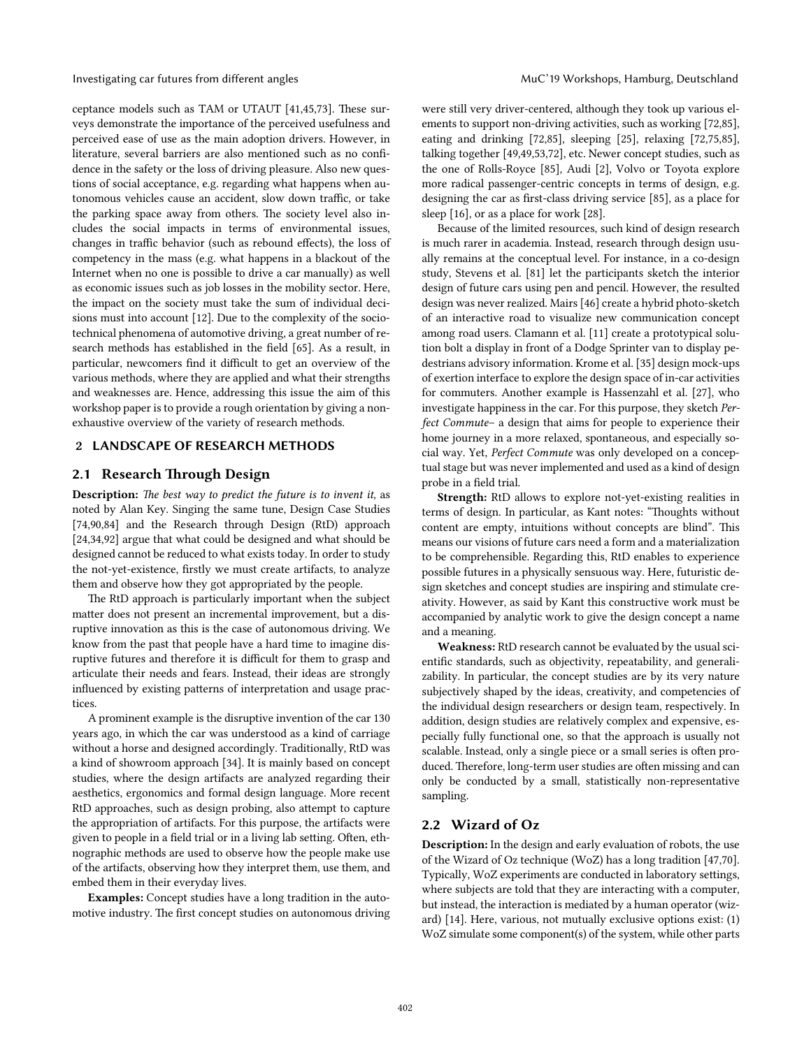Investigating car futures from different angles Muchines MuC'19 Workshops, Hamburg, Deutschland

ceptance models such as TAM or UTAUT [41,45,73]. These surveys demonstrate the importance of the perceived usefulness and perceived ease of use as the main adoption drivers. However, in literature, several barriers are also mentioned such as no confidence in the safety or the loss of driving pleasure. Also new questions of social acceptance, e.g. regarding what happens when autonomous vehicles cause an accident, slow down traffic, or take the parking space away from others. The society level also includes the social impacts in terms of environmental issues, changes in traffic behavior (such as rebound effects), the loss of competency in the mass (e.g. what happens in a blackout of the Internet when no one is possible to drive a car manually) as well as economic issues such as job losses in the mobility sector. Here, the impact on the society must take the sum of individual decisions must into account [12]. Due to the complexity of the sociotechnical phenomena of automotive driving, a great number of research methods has established in the field [65]. As a result, in particular, newcomers find it difficult to get an overview of the various methods, where they are applied and what their strengths and weaknesses are. Hence, addressing this issue the aim of this workshop paper is to provide a rough orientation by giving a nonexhaustive overview of the variety of research methods.

### 2 LANDSCAPE OF RESEARCH METHODS

## 2.1 Research Through Design

Description: T*e best way to predict the future is to invent it*, as noted by Alan Key. Singing the same tune, Design Case Studies [74,90,84] and the Research through Design (RtD) approach [24,34,92] argue that what could be designed and what should be designed cannot be reduced to what exists today. In order to study the not-yet-existence, firstly we must create artifacts, to analyze them and observe how they got appropriated by the people.

The RtD approach is particularly important when the subject mater does not present an incremental improvement, but a disruptive innovation as this is the case of autonomous driving. We know from the past that people have a hard time to imagine disruptive futures and therefore it is difficult for them to grasp and articulate their needs and fears. Instead, their ideas are strongly influenced by existing paterns of interpretation and usage practices.

A prominent example is the disruptive invention of the car 130 years ago, in which the car was understood as a kind of carriage without a horse and designed accordingly. Traditionally, RtD was a kind of showroom approach [34]. It is mainly based on concept studies, where the design artifacts are analyzed regarding their aesthetics, ergonomics and formal design language. More recent RtD approaches, such as design probing, also atempt to capture the appropriation of artifacts. For this purpose, the artifacts were given to people in a field trial or in a living lab setting. Often, ethnographic methods are used to observe how the people make use of the artifacts, observing how they interpret them, use them, and embed them in their everyday lives.

Examples: Concept studies have a long tradition in the automotive industry. The first concept studies on autonomous driving were still very driver-centered, although they took up various elements to support non-driving activities, such as working [72,85], eating and drinking [72,85], sleeping [25], relaxing [72,75,85], talking together [49,49,53,72], etc. Newer concept studies, such as the one of Rolls-Royce [85], Audi [2], Volvo or Toyota explore more radical passenger-centric concepts in terms of design, e.g. designing the car as first-class driving service [85], as a place for sleep [16], or as a place for work [28].

Because of the limited resources, such kind of design research is much rarer in academia. Instead, research through design usually remains at the conceptual level. For instance, in a co-design study, Stevens et al. [81] let the participants sketch the interior design of future cars using pen and pencil. However, the resulted design was never realized. Mairs [46] create a hybrid photo-sketch of an interactive road to visualize new communication concept among road users. Clamann et al. [11] create a prototypical solution bolt a display in front of a Dodge Sprinter van to display pedestrians advisory information. Krome et al. [35] design mock-ups of exertion interface to explore the design space of in-car activities for commuters. Another example is Hassenzahl et al. [27], who investigate happiness in the car. For this purpose, they sketch *Perfect Commute*– a design that aims for people to experience their home journey in a more relaxed, spontaneous, and especially social way. Yet, *Perfect Commute* was only developed on a conceptual stage but was never implemented and used as a kind of design probe in a field trial.

Strength: RtD allows to explore not-yet-existing realities in terms of design. In particular, as Kant notes: "Thoughts without content are empty, intuitions without concepts are blind". This means our visions of future cars need a form and a materialization to be comprehensible. Regarding this, RtD enables to experience possible futures in a physically sensuous way. Here, futuristic design sketches and concept studies are inspiring and stimulate creativity. However, as said by Kant this constructive work must be accompanied by analytic work to give the design concept a name and a meaning.

Weakness: RtD research cannot be evaluated by the usual scientific standards, such as objectivity, repeatability, and generalizability. In particular, the concept studies are by its very nature subjectively shaped by the ideas, creativity, and competencies of the individual design researchers or design team, respectively. In addition, design studies are relatively complex and expensive, especially fully functional one, so that the approach is usually not scalable. Instead, only a single piece or a small series is often produced. Therefore, long-term user studies are often missing and can only be conducted by a small, statistically non-representative sampling.

### 2.2 Wizard of Oz

Description: In the design and early evaluation of robots, the use of the Wizard of Oz technique (WoZ) has a long tradition [47,70]. Typically, WoZ experiments are conducted in laboratory setings, where subjects are told that they are interacting with a computer, but instead, the interaction is mediated by a human operator (wizard) [14]. Here, various, not mutually exclusive options exist: (1) WoZ simulate some component(s) of the system, while other parts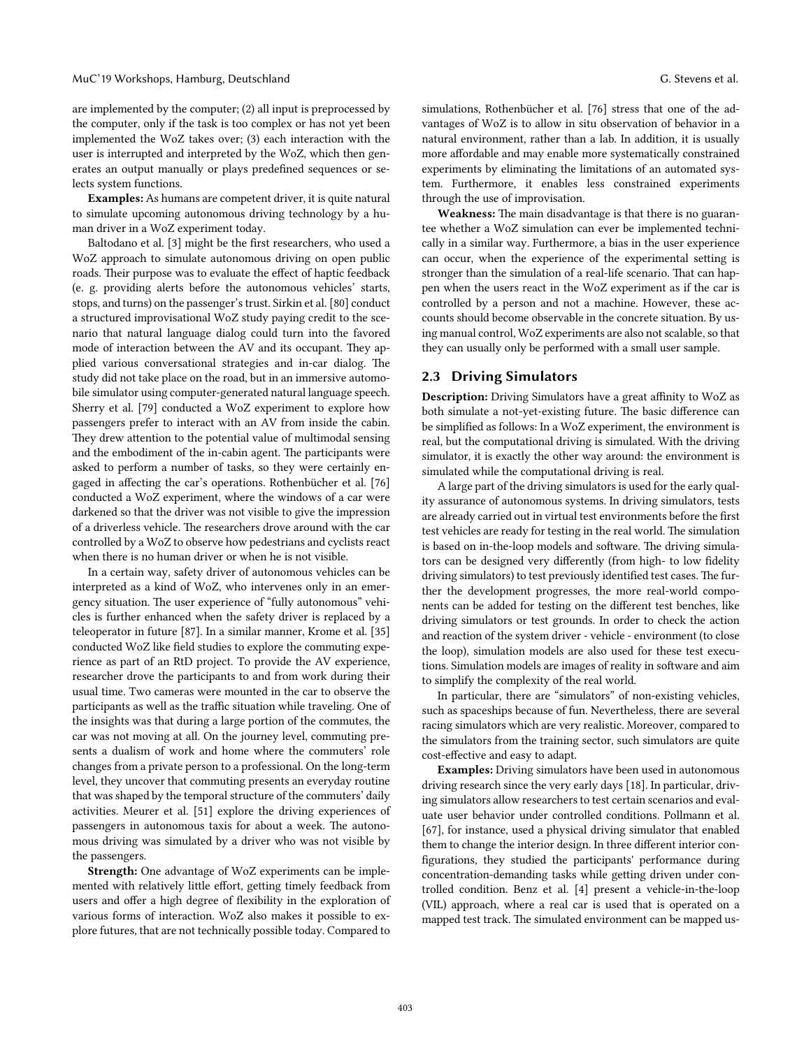are implemented by the computer; (2) all input is preprocessed by the computer, only if the task is too complex or has not yet been implemented the WoZ takes over; (3) each interaction with the user is interrupted and interpreted by the WoZ, which then gen-

erates an output manually or plays predefined sequences or selects system functions.

Examples: As humans are competent driver, it is quite natural to simulate upcoming autonomous driving technology by a human driver in a WoZ experiment today.

Baltodano et al. [3] might be the first researchers, who used a WoZ approach to simulate autonomous driving on open public roads. Their purpose was to evaluate the effect of haptic feedback (e. g. providing alerts before the autonomous vehicles' starts, stops, and turns) on the passenger's trust. Sirkin et al. [80] conduct a structured improvisational WoZ study paying credit to the scenario that natural language dialog could turn into the favored mode of interaction between the AV and its occupant. They applied various conversational strategies and in-car dialog. The study did not take place on the road, but in an immersive automobile simulator using computer-generated natural language speech. Sherry et al. [79] conducted a WoZ experiment to explore how passengers prefer to interact with an AV from inside the cabin. They drew attention to the potential value of multimodal sensing and the embodiment of the in-cabin agent. The participants were asked to perform a number of tasks, so they were certainly engaged in affecting the car's operations. Rothenbücher et al. [76] conducted a WoZ experiment, where the windows of a car were darkened so that the driver was not visible to give the impression of a driverless vehicle. The researchers drove around with the car controlled by a WoZ to observe how pedestrians and cyclists react when there is no human driver or when he is not visible.

In a certain way, safety driver of autonomous vehicles can be interpreted as a kind of WoZ, who intervenes only in an emergency situation. The user experience of "fully autonomous" vehicles is further enhanced when the safety driver is replaced by a teleoperator in future [87]. In a similar manner, Krome et al. [35] conducted WoZ like field studies to explore the commuting experience as part of an RtD project. To provide the AV experience, researcher drove the participants to and from work during their usual time. Two cameras were mounted in the car to observe the participants as well as the traffic situation while traveling. One of the insights was that during a large portion of the commutes, the car was not moving at all. On the journey level, commuting presents a dualism of work and home where the commuters' role changes from a private person to a professional. On the long-term level, they uncover that commuting presents an everyday routine that was shaped by the temporal structure of the commuters' daily activities. Meurer et al. [51] explore the driving experiences of passengers in autonomous taxis for about a week. The autonomous driving was simulated by a driver who was not visible by the passengers.

Strength: One advantage of WoZ experiments can be implemented with relatively litle effort, geting timely feedback from users and offer a high degree of flexibility in the exploration of various forms of interaction. WoZ also makes it possible to explore futures, that are not technically possible today. Compared to

simulations, Rothenbücher et al. [76] stress that one of the advantages of WoZ is to allow in situ observation of behavior in a natural environment, rather than a lab. In addition, it is usually more affordable and may enable more systematically constrained experiments by eliminating the limitations of an automated system. Furthermore, it enables less constrained experiments through the use of improvisation.

Weakness: The main disadvantage is that there is no guarantee whether a WoZ simulation can ever be implemented technically in a similar way. Furthermore, a bias in the user experience can occur, when the experience of the experimental seting is stronger than the simulation of a real-life scenario. That can happen when the users react in the WoZ experiment as if the car is controlled by a person and not a machine. However, these accounts should become observable in the concrete situation. By using manual control, WoZ experiments are also not scalable, so that they can usually only be performed with a small user sample.

## 2.3 Driving Simulators

Description: Driving Simulators have a great affinity to WoZ as both simulate a not-yet-existing future. The basic difference can be simplified as follows: In a WoZ experiment, the environment is real, but the computational driving is simulated. With the driving simulator, it is exactly the other way around: the environment is simulated while the computational driving is real.

A large part of the driving simulators is used for the early quality assurance of autonomous systems. In driving simulators, tests are already carried out in virtual test environments before the first test vehicles are ready for testing in the real world. The simulation is based on in-the-loop models and software. The driving simulators can be designed very differently (from high- to low fidelity driving simulators) to test previously identified test cases. The further the development progresses, the more real-world components can be added for testing on the different test benches, like driving simulators or test grounds. In order to check the action and reaction of the system driver - vehicle - environment (to close the loop), simulation models are also used for these test executions. Simulation models are images of reality in sofware and aim to simplify the complexity of the real world.

In particular, there are "simulators" of non-existing vehicles, such as spaceships because of fun. Nevertheless, there are several racing simulators which are very realistic. Moreover, compared to the simulators from the training sector, such simulators are quite cost-effective and easy to adapt.

Examples: Driving simulators have been used in autonomous driving research since the very early days [18]. In particular, driving simulators allow researchers to test certain scenarios and evaluate user behavior under controlled conditions. Pollmann et al. [67], for instance, used a physical driving simulator that enabled them to change the interior design. In three different interior configurations, they studied the participants' performance during concentration-demanding tasks while geting driven under controlled condition. Benz et al. [4] present a vehicle-in-the-loop (VIL) approach, where a real car is used that is operated on a mapped test track. The simulated environment can be mapped us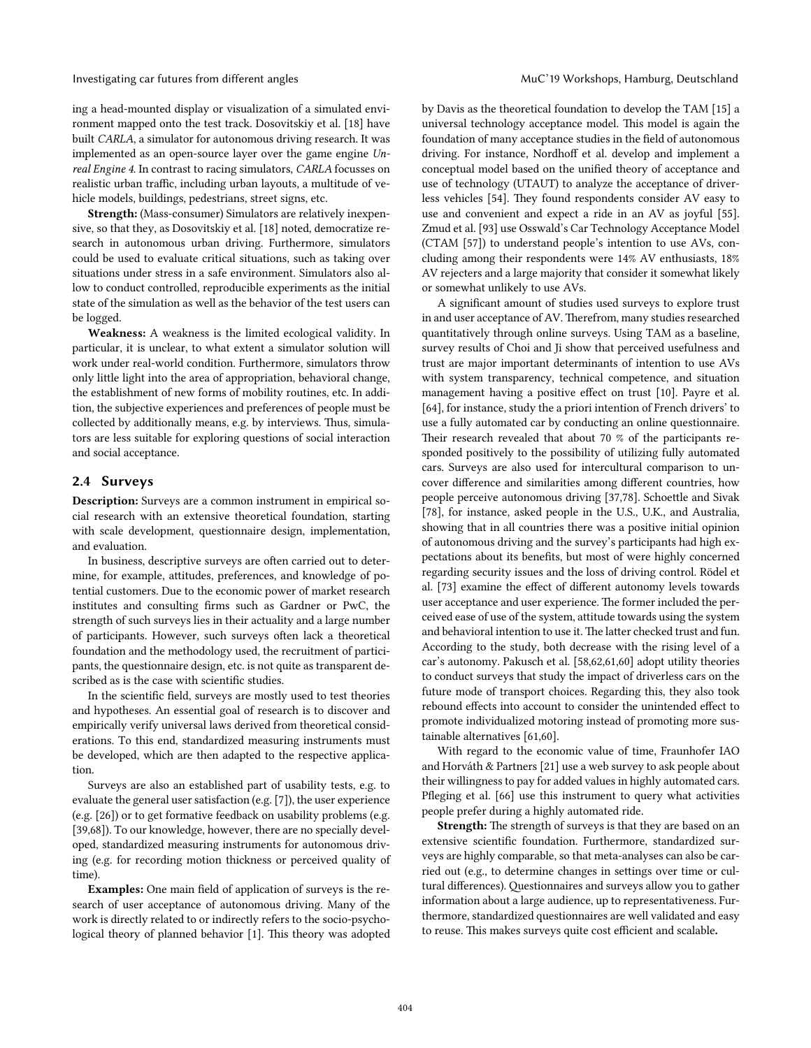Investigating car futures from different angles MuC'19 Workshops, Hamburg, Deutschland

ing a head-mounted display or visualization of a simulated environment mapped onto the test track. Dosovitskiy et al. [18] have built *CARLA*, a simulator for autonomous driving research. It was implemented as an open-source layer over the game engine *Unreal Engine 4*. In contrast to racing simulators, *CARLA* focusses on realistic urban traffic, including urban layouts, a multitude of vehicle models, buildings, pedestrians, street signs, etc.

Strength: (Mass-consumer) Simulators are relatively inexpensive, so that they, as Dosovitskiy et al. [18] noted, democratize research in autonomous urban driving. Furthermore, simulators could be used to evaluate critical situations, such as taking over situations under stress in a safe environment. Simulators also allow to conduct controlled, reproducible experiments as the initial state of the simulation as well as the behavior of the test users can be logged.

Weakness: A weakness is the limited ecological validity. In particular, it is unclear, to what extent a simulator solution will work under real-world condition. Furthermore, simulators throw only litle light into the area of appropriation, behavioral change, the establishment of new forms of mobility routines, etc. In addition, the subjective experiences and preferences of people must be collected by additionally means, e.g. by interviews. Thus, simulators are less suitable for exploring questions of social interaction and social acceptance.

# 2.4 Surveys

Description: Surveys are a common instrument in empirical social research with an extensive theoretical foundation, starting with scale development, questionnaire design, implementation, and evaluation.

In business, descriptive surveys are ofen carried out to determine, for example, atitudes, preferences, and knowledge of potential customers. Due to the economic power of market research institutes and consulting firms such as Gardner or PwC, the strength of such surveys lies in their actuality and a large number of participants. However, such surveys ofen lack a theoretical foundation and the methodology used, the recruitment of participants, the questionnaire design, etc. is not quite as transparent described as is the case with scientific studies.

In the scientific field, surveys are mostly used to test theories and hypotheses. An essential goal of research is to discover and empirically verify universal laws derived from theoretical considerations. To this end, standardized measuring instruments must be developed, which are then adapted to the respective application.

Surveys are also an established part of usability tests, e.g. to evaluate the general user satisfaction (e.g. [7]), the user experience (e.g. [26]) or to get formative feedback on usability problems (e.g. [39,68]). To our knowledge, however, there are no specially developed, standardized measuring instruments for autonomous driving (e.g. for recording motion thickness or perceived quality of time).

Examples: One main field of application of surveys is the research of user acceptance of autonomous driving. Many of the work is directly related to or indirectly refers to the socio-psychological theory of planned behavior [1]. This theory was adopted by Davis as the theoretical foundation to develop the TAM [15] a universal technology acceptance model. This model is again the foundation of many acceptance studies in the field of autonomous driving. For instance, Nordhoff et al. develop and implement a conceptual model based on the unified theory of acceptance and use of technology (UTAUT) to analyze the acceptance of driverless vehicles [54]. They found respondents consider AV easy to use and convenient and expect a ride in an AV as joyful [55]. Zmud et al. [93] use Osswald's Car Technology Acceptance Model (CTAM [57]) to understand people's intention to use AVs, concluding among their respondents were 14% AV enthusiasts, 18% AV rejecters and a large majority that consider it somewhat likely or somewhat unlikely to use AVs.

A significant amount of studies used surveys to explore trust in and user acceptance of AV. Therefrom, many studies researched quantitatively through online surveys. Using TAM as a baseline, survey results of Choi and Ji show that perceived usefulness and trust are major important determinants of intention to use AVs with system transparency, technical competence, and situation management having a positive effect on trust [10]. Payre et al. [64], for instance, study the a priori intention of French drivers' to use a fully automated car by conducting an online questionnaire. Their research revealed that about 70 % of the participants responded positively to the possibility of utilizing fully automated cars. Surveys are also used for intercultural comparison to uncover difference and similarities among different countries, how people perceive autonomous driving [37,78]. Schoettle and Sivak [78], for instance, asked people in the U.S., U.K., and Australia, showing that in all countries there was a positive initial opinion of autonomous driving and the survey's participants had high expectations about its benefits, but most of were highly concerned regarding security issues and the loss of driving control. Rödel et al. [73] examine the effect of different autonomy levels towards user acceptance and user experience. The former included the perceived ease of use of the system, atitude towards using the system and behavioral intention to use it. The latter checked trust and fun. According to the study, both decrease with the rising level of a car's autonomy. Pakusch et al. [58,62,61,60] adopt utility theories to conduct surveys that study the impact of driverless cars on the future mode of transport choices. Regarding this, they also took rebound effects into account to consider the unintended effect to promote individualized motoring instead of promoting more sustainable alternatives [61,60].

With regard to the economic value of time, Fraunhofer IAO and Horváth & Partners [21] use a web survey to ask people about their willingness to pay for added values in highly automated cars. Pfleging et al. [66] use this instrument to query what activities people prefer during a highly automated ride.

Strength: The strength of surveys is that they are based on an extensive scientific foundation. Furthermore, standardized surveys are highly comparable, so that meta-analyses can also be carried out (e.g., to determine changes in setings over time or cultural differences). Questionnaires and surveys allow you to gather information about a large audience, up to representativeness. Furthermore, standardized questionnaires are well validated and easy to reuse. This makes surveys quite cost efficient and scalable.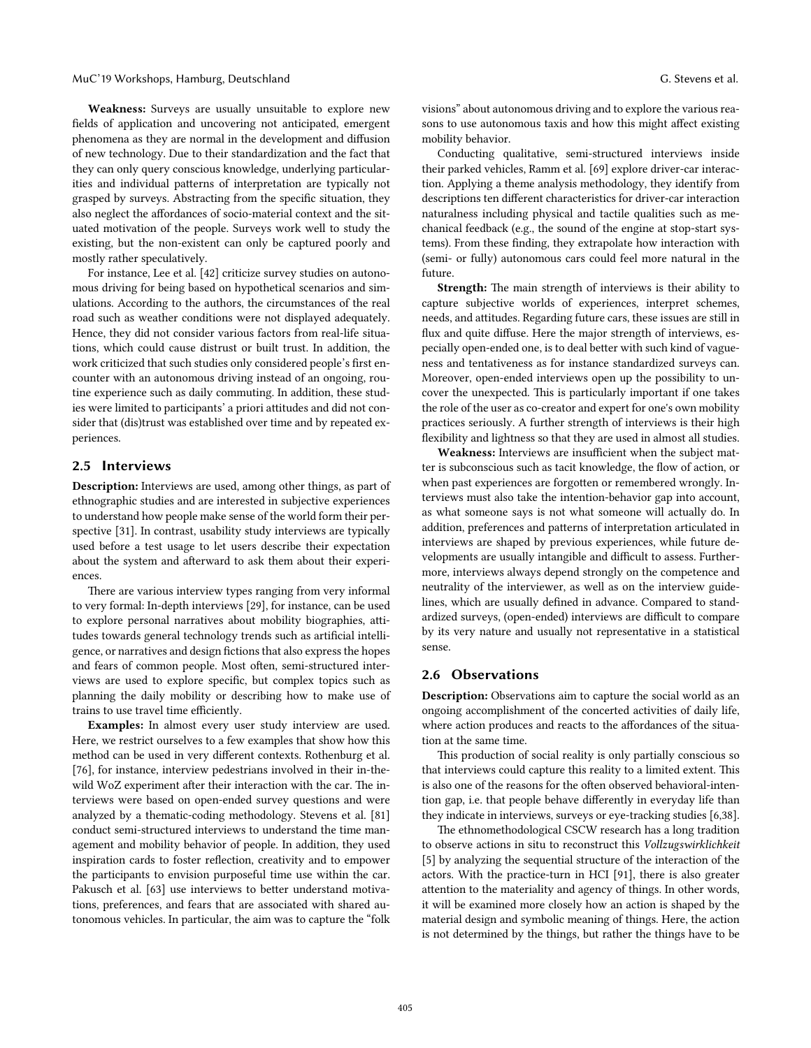Weakness: Surveys are usually unsuitable to explore new fields of application and uncovering not anticipated, emergent phenomena as they are normal in the development and diffusion of new technology. Due to their standardization and the fact that they can only query conscious knowledge, underlying particularities and individual paterns of interpretation are typically not grasped by surveys. Abstracting from the specific situation, they also neglect the affordances of socio-material context and the situated motivation of the people. Surveys work well to study the existing, but the non-existent can only be captured poorly and mostly rather speculatively.

For instance, Lee et al. [42] criticize survey studies on autonomous driving for being based on hypothetical scenarios and simulations. According to the authors, the circumstances of the real road such as weather conditions were not displayed adequately. Hence, they did not consider various factors from real-life situations, which could cause distrust or built trust. In addition, the work criticized that such studies only considered people's first encounter with an autonomous driving instead of an ongoing, routine experience such as daily commuting. In addition, these studies were limited to participants' a priori atitudes and did not consider that (dis)trust was established over time and by repeated experiences.

# 2.5 Interviews

Description: Interviews are used, among other things, as part of ethnographic studies and are interested in subjective experiences to understand how people make sense of the world form their perspective [31]. In contrast, usability study interviews are typically used before a test usage to let users describe their expectation about the system and afterward to ask them about their experiences.

There are various interview types ranging from very informal to very formal: In-depth interviews [29], for instance, can be used to explore personal narratives about mobility biographies, atitudes towards general technology trends such as artificial intelligence, or narratives and design fictions that also express the hopes and fears of common people. Most often, semi-structured interviews are used to explore specific, but complex topics such as planning the daily mobility or describing how to make use of trains to use travel time efficiently.

Examples: In almost every user study interview are used. Here, we restrict ourselves to a few examples that show how this method can be used in very different contexts. Rothenburg et al. [76], for instance, interview pedestrians involved in their in-thewild WoZ experiment after their interaction with the car. The interviews were based on open-ended survey questions and were analyzed by a thematic-coding methodology. Stevens et al. [81] conduct semi-structured interviews to understand the time management and mobility behavior of people. In addition, they used inspiration cards to foster reflection, creativity and to empower the participants to envision purposeful time use within the car. Pakusch et al. [63] use interviews to better understand motivations, preferences, and fears that are associated with shared autonomous vehicles. In particular, the aim was to capture the "folk visions" about autonomous driving and to explore the various reasons to use autonomous taxis and how this might affect existing mobility behavior.

Conducting qualitative, semi-structured interviews inside their parked vehicles, Ramm et al. [69] explore driver-car interaction. Applying a theme analysis methodology, they identify from descriptions ten different characteristics for driver-car interaction naturalness including physical and tactile qualities such as mechanical feedback (e.g., the sound of the engine at stop-start systems). From these finding, they extrapolate how interaction with (semi- or fully) autonomous cars could feel more natural in the future.

Strength: The main strength of interviews is their ability to capture subjective worlds of experiences, interpret schemes, needs, and atitudes. Regarding future cars, these issues are still in flux and quite diffuse. Here the major strength of interviews, especially open-ended one, is to deal beter with such kind of vagueness and tentativeness as for instance standardized surveys can. Moreover, open-ended interviews open up the possibility to uncover the unexpected. This is particularly important if one takes the role of the user as co-creator and expert for one's own mobility practices seriously. A further strength of interviews is their high flexibility and lightness so that they are used in almost all studies.

Weakness: Interviews are insufficient when the subject matter is subconscious such as tacit knowledge, the flow of action, or when past experiences are forgotten or remembered wrongly. Interviews must also take the intention-behavior gap into account, as what someone says is not what someone will actually do. In addition, preferences and paterns of interpretation articulated in interviews are shaped by previous experiences, while future developments are usually intangible and difficult to assess. Furthermore, interviews always depend strongly on the competence and neutrality of the interviewer, as well as on the interview guidelines, which are usually defined in advance. Compared to standardized surveys, (open-ended) interviews are difficult to compare by its very nature and usually not representative in a statistical sense.

# 2.6 Observations

Description: Observations aim to capture the social world as an ongoing accomplishment of the concerted activities of daily life, where action produces and reacts to the affordances of the situation at the same time.

This production of social reality is only partially conscious so that interviews could capture this reality to a limited extent. This is also one of the reasons for the often observed behavioral-intention gap, i.e. that people behave differently in everyday life than they indicate in interviews, surveys or eye-tracking studies [6,38].

The ethnomethodological CSCW research has a long tradition to observe actions in situ to reconstruct this *Vollzugswirklichkeit* [5] by analyzing the sequential structure of the interaction of the actors. With the practice-turn in HCI [91], there is also greater atention to the materiality and agency of things. In other words, it will be examined more closely how an action is shaped by the material design and symbolic meaning of things. Here, the action is not determined by the things, but rather the things have to be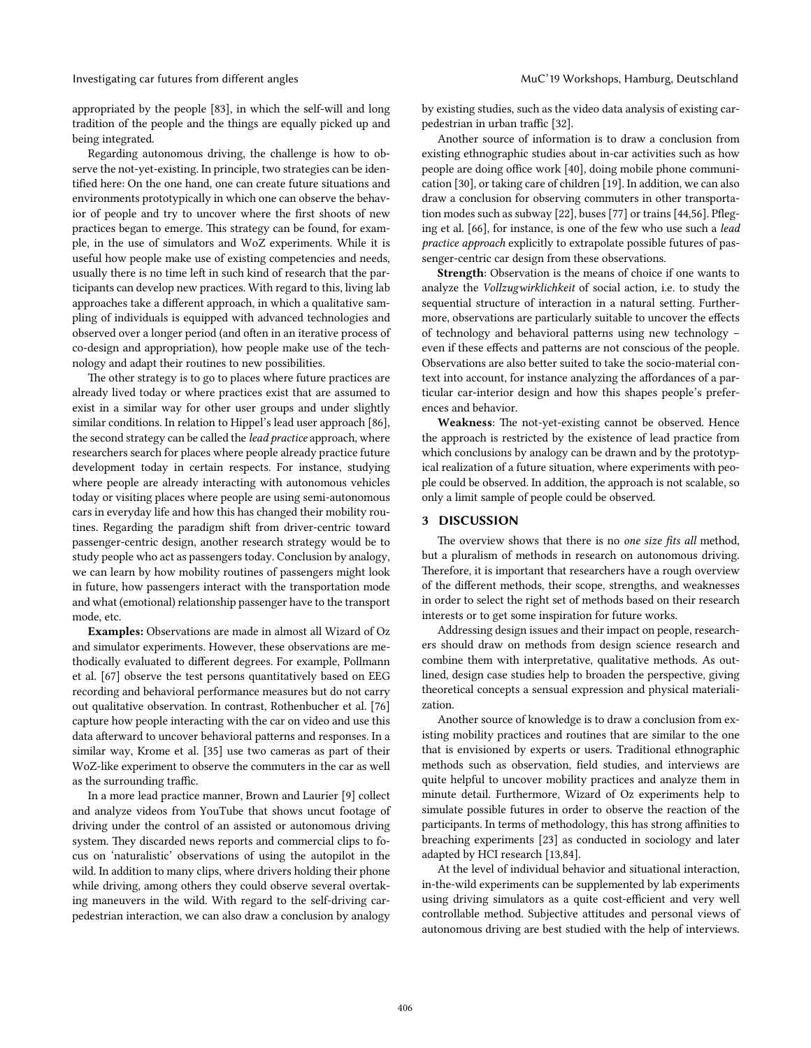Investigating car futures from different angles MuC'19 Workshops, Hamburg, Deutschland

appropriated by the people [83], in which the self-will and long tradition of the people and the things are equally picked up and being integrated.

Regarding autonomous driving, the challenge is how to observe the not-yet-existing. In principle, two strategies can be identified here: On the one hand, one can create future situations and environments prototypically in which one can observe the behavior of people and try to uncover where the first shoots of new practices began to emerge. This strategy can be found, for example, in the use of simulators and WoZ experiments. While it is useful how people make use of existing competencies and needs, usually there is no time left in such kind of research that the participants can develop new practices. With regard to this, living lab approaches take a different approach, in which a qualitative sampling of individuals is equipped with advanced technologies and observed over a longer period (and ofen in an iterative process of co-design and appropriation), how people make use of the technology and adapt their routines to new possibilities.

The other strategy is to go to places where future practices are already lived today or where practices exist that are assumed to exist in a similar way for other user groups and under slightly similar conditions. In relation to Hippel's lead user approach [86], the second strategy can be called the *lead practice* approach, where researchers search for places where people already practice future development today in certain respects. For instance, studying where people are already interacting with autonomous vehicles today or visiting places where people are using semi-autonomous cars in everyday life and how this has changed their mobility routines. Regarding the paradigm shift from driver-centric toward passenger-centric design, another research strategy would be to study people who act as passengers today. Conclusion by analogy, we can learn by how mobility routines of passengers might look in future, how passengers interact with the transportation mode and what (emotional) relationship passenger have to the transport mode, etc.

Examples: Observations are made in almost all Wizard of Oz and simulator experiments. However, these observations are methodically evaluated to different degrees. For example, Pollmann et al. [67] observe the test persons quantitatively based on EEG recording and behavioral performance measures but do not carry out qualitative observation. In contrast, Rothenbucher et al. [76] capture how people interacting with the car on video and use this data afterward to uncover behavioral patterns and responses. In a similar way, Krome et al. [35] use two cameras as part of their WoZ-like experiment to observe the commuters in the car as well as the surrounding traffic.

In a more lead practice manner, Brown and Laurier [9] collect and analyze videos from YouTube that shows uncut footage of driving under the control of an assisted or autonomous driving system. They discarded news reports and commercial clips to focus on 'naturalistic' observations of using the autopilot in the wild. In addition to many clips, where drivers holding their phone while driving, among others they could observe several overtaking maneuvers in the wild. With regard to the self-driving carpedestrian interaction, we can also draw a conclusion by analogy

by existing studies, such as the video data analysis of existing carpedestrian in urban traffic [32].

Another source of information is to draw a conclusion from existing ethnographic studies about in-car activities such as how people are doing office work [40], doing mobile phone communication [30], or taking care of children [19]. In addition, we can also draw a conclusion for observing commuters in other transportation modes such as subway [22], buses [77] or trains[44,56]. Pfleging et al. [66], for instance, is one of the few who use such a *lead practice approach* explicitly to extrapolate possible futures of passenger-centric car design from these observations.

Strength: Observation is the means of choice if one wants to analyze the *Vollzugwirklichkeit* of social action, i.e. to study the sequential structure of interaction in a natural seting. Furthermore, observations are particularly suitable to uncover the effects of technology and behavioral paterns using new technology – even if these effects and paterns are not conscious of the people. Observations are also better suited to take the socio-material context into account, for instance analyzing the affordances of a particular car-interior design and how this shapes people's preferences and behavior.

Weakness: The not-yet-existing cannot be observed. Hence the approach is restricted by the existence of lead practice from which conclusions by analogy can be drawn and by the prototypical realization of a future situation, where experiments with people could be observed. In addition, the approach is not scalable, so only a limit sample of people could be observed.

# 3 DISCUSSION

The overview shows that there is no *one size fits all* method, but a pluralism of methods in research on autonomous driving. Therefore, it is important that researchers have a rough overview of the different methods, their scope, strengths, and weaknesses in order to select the right set of methods based on their research interests or to get some inspiration for future works.

Addressing design issues and their impact on people, researchers should draw on methods from design science research and combine them with interpretative, qualitative methods. As outlined, design case studies help to broaden the perspective, giving theoretical concepts a sensual expression and physical materialization.

Another source of knowledge is to draw a conclusion from existing mobility practices and routines that are similar to the one that is envisioned by experts or users. Traditional ethnographic methods such as observation, field studies, and interviews are quite helpful to uncover mobility practices and analyze them in minute detail. Furthermore, Wizard of Oz experiments help to simulate possible futures in order to observe the reaction of the participants. In terms of methodology, this has strong affinities to breaching experiments [23] as conducted in sociology and later adapted by HCI research [13,84].

At the level of individual behavior and situational interaction, in-the-wild experiments can be supplemented by lab experiments using driving simulators as a quite cost-efficient and very well controllable method. Subjective atitudes and personal views of autonomous driving are best studied with the help of interviews.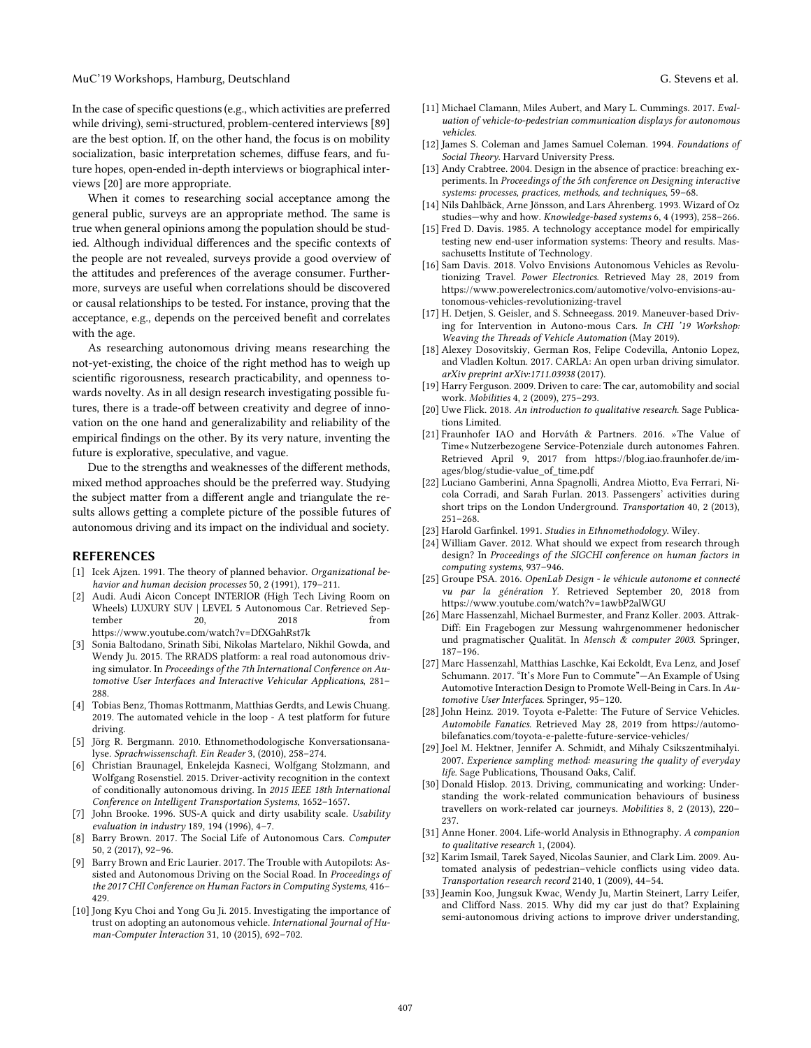#### MuC'19 Workshops, Hamburg, Deutschland G. Stevens et al.

In the case of specific questions (e.g., which activities are preferred while driving), semi-structured, problem-centered interviews [89] are the best option. If, on the other hand, the focus is on mobility socialization, basic interpretation schemes, diffuse fears, and future hopes, open-ended in-depth interviews or biographical interviews [20] are more appropriate.

When it comes to researching social acceptance among the general public, surveys are an appropriate method. The same is true when general opinions among the population should be studied. Although individual differences and the specific contexts of the people are not revealed, surveys provide a good overview of the atitudes and preferences of the average consumer. Furthermore, surveys are useful when correlations should be discovered or causal relationships to be tested. For instance, proving that the acceptance, e.g., depends on the perceived benefit and correlates with the age.

As researching autonomous driving means researching the not-yet-existing, the choice of the right method has to weigh up scientific rigorousness, research practicability, and openness towards novelty. As in all design research investigating possible futures, there is a trade-off between creativity and degree of innovation on the one hand and generalizability and reliability of the empirical findings on the other. By its very nature, inventing the future is explorative, speculative, and vague.

Due to the strengths and weaknesses of the different methods, mixed method approaches should be the preferred way. Studying the subject matter from a different angle and triangulate the results allows geting a complete picture of the possible futures of autonomous driving and its impact on the individual and society.

#### REFERENCES

- [1] Icek Ajzen. 1991. The theory of planned behavior. *Organizational behavior and human decision processes* 50, 2 (1991), 179–211.
- Audi. Audi Aicon Concept INTERIOR (High Tech Living Room on Wheels) LUXURY SUV | LEVEL 5 Autonomous Car. Retrieved September 20, 2018 from https://www.youtube.com/watch?v=DfXGahRst7k
- [3] Sonia Baltodano, Srinath Sibi, Nikolas Martelaro, Nikhil Gowda, and Wendy Ju. 2015. The RRADS platform: a real road autonomous driving simulator. In *Proceedings of the 7th International Conference on Automotive User Interfaces and Interactive Vehicular Applications*, 281– 288.
- [4] Tobias Benz, Thomas Rottmanm, Matthias Gerdts, and Lewis Chuang. 2019. The automated vehicle in the loop - A test platform for future driving.
- [5] Jörg R. Bergmann. 2010. Ethnomethodologische Konversationsanalyse. *Sprachwissenschaft. Ein Reader* 3, (2010), 258–274.
- [6] Christian Braunagel, Enkelejda Kasneci, Wolfgang Stolzmann, and Wolfgang Rosenstiel. 2015. Driver-activity recognition in the context of conditionally autonomous driving. In *2015 IEEE 18th International Conference on Intelligent Transportation Systems*, 1652–1657.
- [7] John Brooke. 1996. SUS-A quick and dirty usability scale. *Usability evaluation in industry* 189, 194 (1996), 4–7.
- [8] Barry Brown. 2017. The Social Life of Autonomous Cars. *Computer* 50, 2 (2017), 92–96.
- [9] Barry Brown and Eric Laurier. 2017. The Trouble with Autopilots: Assisted and Autonomous Driving on the Social Road. In *Proceedings of the 2017 CHI Conference on Human Factors in Computing Systems*, 416– 429.
- [10] Jong Kyu Choi and Yong Gu Ji. 2015. Investigating the importance of trust on adopting an autonomous vehicle. *International Journal of Human-Computer Interaction* 31, 10 (2015), 692–702.
- [11] Michael Clamann, Miles Aubert, and Mary L. Cummings. 2017. *Evaluation of vehicle-to-pedestrian communication displays for autonomous vehicles*.
- [12] James S. Coleman and James Samuel Coleman. 1994. *Foundations of Social Theory*. Harvard University Press.
- [13] Andy Crabtree. 2004. Design in the absence of practice: breaching experiments. In *Proceedings of the 5th conference on Designing interactive systems: processes, practices, methods, and techniques*, 59–68.
- [14] Nils Dahlbäck, Arne Jönsson, and Lars Ahrenberg. 1993. Wizard of Oz studies—why and how. *Knowledge-based systems* 6, 4 (1993), 258–266.
- [15] Fred D. Davis. 1985. A technology acceptance model for empirically testing new end-user information systems: Theory and results. Massachusetts Institute of Technology.
- [16] Sam Davis. 2018. Volvo Envisions Autonomous Vehicles as Revolutionizing Travel. *Power Electronics*. Retrieved May 28, 2019 from https://www.powerelectronics.com/automotive/volvo-envisions-autonomous-vehicles-revolutionizing-travel
- [17] H. Detjen, S. Geisler, and S. Schneegass. 2019. Maneuver-based Driving for Intervention in Autono-mous Cars. *In CHI '19 Workshop: Weaving the Threads of Vehicle Automation* (May 2019).
- [18] Alexey Dosovitskiy, German Ros, Felipe Codevilla, Antonio Lopez, and Vladlen Koltun. 2017. CARLA: An open urban driving simulator. *arXiv preprint arXiv:1711.03938* (2017).
- [19] Harry Ferguson. 2009. Driven to care: The car, automobility and social work. *Mobilities* 4, 2 (2009), 275–293.
- [20] Uwe Flick. 2018. *An introduction to qualitative research*. Sage Publications Limited.
- [21] Fraunhofer IAO and Horváth & Partners. 2016. »The Value of Time«Nutzerbezogene Service-Potenziale durch autonomes Fahren. Retrieved April 9, 2017 from https://blog.iao.fraunhofer.de/images/blog/studie-value\_of\_time.pdf
- [22] Luciano Gamberini, Anna Spagnolli, Andrea Miotto, Eva Ferrari, Nicola Corradi, and Sarah Furlan. 2013. Passengers' activities during short trips on the London Underground. *Transportation* 40, 2 (2013), 251–268.
- [23] Harold Garfinkel. 1991. *Studies in Ethnomethodology*. Wiley.
- [24] William Gaver. 2012. What should we expect from research through design? In *Proceedings of the SIGCHI conference on human factors in computing systems*, 937–946.
- [25] Groupe PSA. 2016. *OpenLab Design - le véhicule autonome et connecté vu par la génération Y*. Retrieved September 20, 2018 from https://www.youtube.com/watch?v=1awbP2alWGU
- [26] Marc Hassenzahl, Michael Burmester, and Franz Koller. 2003. Attrak-Diff: Ein Fragebogen zur Messung wahrgenommener hedonischer und pragmatischer Qualität. In *Mensch & computer 2003*. Springer, 187–196.
- [27] Marc Hassenzahl, Matthias Laschke, Kai Eckoldt, Eva Lenz, and Josef Schumann. 2017. "It's More Fun to Commute"—An Example of Using Automotive Interaction Design to Promote Well-Being in Cars. In *Automotive User Interfaces*. Springer, 95–120.
- [28] John Heinz. 2019. Toyota e-Palette: The Future of Service Vehicles. *Automobile Fanatics*. Retrieved May 28, 2019 from https://automobilefanatics.com/toyota-e-palette-future-service-vehicles/
- [29] Joel M. Hektner, Jennifer A. Schmidt, and Mihaly Csikszentmihalyi. 2007. *Experience sampling method: measuring the quality of everyday life*. Sage Publications, Thousand Oaks, Calif.
- [30] Donald Hislop. 2013. Driving, communicating and working: Understanding the work-related communication behaviours of business travellers on work-related car journeys. *Mobilities* 8, 2 (2013), 220– 237.
- [31] Anne Honer. 2004. Life-world Analysis in Ethnography. *A companion to qualitative research* 1, (2004).
- [32] Karim Ismail, Tarek Sayed, Nicolas Saunier, and Clark Lim. 2009. Automated analysis of pedestrian–vehicle conflicts using video data. *Transportation research record* 2140, 1 (2009), 44–54.
- [33] Jeamin Koo, Jungsuk Kwac, Wendy Ju, Martin Steinert, Larry Leifer, and Clifford Nass. 2015. Why did my car just do that? Explaining semi-autonomous driving actions to improve driver understanding,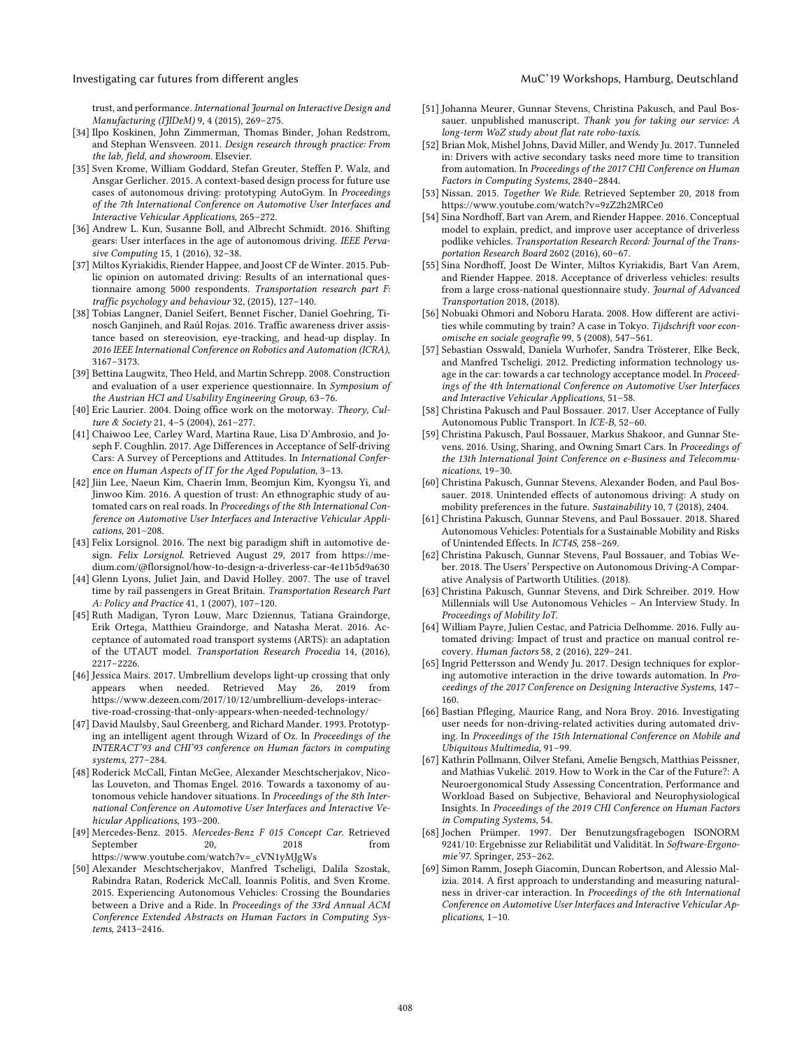#### Investigating car futures from different angles Muchines MuC'19 Workshops, Hamburg, Deutschland

trust, and performance. *International Journal on Interactive Design and Manufacturing (IJIDeM)* 9, 4 (2015), 269–275.

- [34] Ilpo Koskinen, John Zimmerman, Thomas Binder, Johan Redstrom, and Stephan Wensveen. 2011. *Design research through practice: From the lab, field, and showroom*. Elsevier.
- [35] Sven Krome, William Goddard, Stefan Greuter, Steffen P. Walz, and Ansgar Gerlicher. 2015. A context-based design process for future use cases of autonomous driving: prototyping AutoGym. In *Proceedings of the 7th International Conference on Automotive User Interfaces and Interactive Vehicular Applications*, 265–272.
- [36] Andrew L. Kun, Susanne Boll, and Albrecht Schmidt. 2016. Shifting gears: User interfaces in the age of autonomous driving. *IEEE Pervasive Computing* 15, 1 (2016), 32–38.
- [37] Miltos Kyriakidis, Riender Happee, and Joost CF de Winter. 2015. Public opinion on automated driving: Results of an international questionnaire among 5000 respondents. *Transportation research part F: traffic psychology and behaviour* 32, (2015), 127–140.
- [38] Tobias Langner, Daniel Seifert, Bennet Fischer, Daniel Goehring, Tinosch Ganjineh, and Raúl Rojas. 2016. Traffic awareness driver assistance based on stereovision, eye-tracking, and head-up display. In *2016 IEEE International Conference on Robotics and Automation (ICRA)*, 3167–3173.
- [39] Bettina Laugwitz, Theo Held, and Martin Schrepp. 2008. Construction and evaluation of a user experience questionnaire. In *Symposium of the Austrian HCI and Usability Engineering Group*, 63–76.
- [40] Eric Laurier. 2004. Doing office work on the motorway. *Theory, Culture & Society* 21, 4–5 (2004), 261–277.
- [41] Chaiwoo Lee, Carley Ward, Martina Raue, Lisa D'Ambrosio, and Joseph F. Coughlin. 2017. Age Differences in Acceptance of Self-driving Cars: A Survey of Perceptions and Attitudes. In *International Conference on Human Aspects of IT for the Aged Population*, 3–13.
- [42] Jiin Lee, Naeun Kim, Chaerin Imm, Beomjun Kim, Kyongsu Yi, and Jinwoo Kim. 2016. A question of trust: An ethnographic study of automated cars on real roads. In *Proceedings of the 8th International Conference on Automotive User Interfaces and Interactive Vehicular Applications*, 201–208.
- [43] Felix Lorsignol. 2016. The next big paradigm shift in automotive design. *Felix Lorsignol*. Retrieved August 29, 2017 from https://medium.com/@florsignol/how-to-design-a-driverless-car-4e11b5d9a630
- [44] Glenn Lyons, Juliet Jain, and David Holley. 2007. The use of travel time by rail passengers in Great Britain. *Transportation Research Part A: Policy and Practice* 41, 1 (2007), 107–120.
- [45] Ruth Madigan, Tyron Louw, Marc Dziennus, Tatiana Graindorge, Erik Ortega, Matthieu Graindorge, and Natasha Merat. 2016. Acceptance of automated road transport systems (ARTS): an adaptation of the UTAUT model. *Transportation Research Procedia* 14, (2016), 2217–2226.
- [46] Jessica Mairs. 2017. Umbrellium develops light-up crossing that only appears when needed. Retrieved May 26, 2019 from https://www.dezeen.com/2017/10/12/umbrellium-develops-interactive-road-crossing-that-only-appears-when-needed-technology/
- [47] David Maulsby, Saul Greenberg, and Richard Mander. 1993. Prototyping an intelligent agent through Wizard of Oz. In *Proceedings of the INTERACT'93 and CHI'93 conference on Human factors in computing systems*, 277–284.
- [48] Roderick McCall, Fintan McGee, Alexander Meschtscherjakov, Nicolas Louveton, and Thomas Engel. 2016. Towards a taxonomy of autonomous vehicle handover situations. In *Proceedings of the 8th International Conference on Automotive User Interfaces and Interactive Vehicular Applications*, 193–200.
- [49] Mercedes-Benz. 2015. *Mercedes-Benz F 015 Concept Car*. Retrieved September 20, 2018 from https://www.youtube.com/watch?v=\_cVN1yMJgWs
- [50] Alexander Meschtscherjakov, Manfred Tscheligi, Dalila Szostak, Rabindra Ratan, Roderick McCall, Ioannis Politis, and Sven Krome. 2015. Experiencing Autonomous Vehicles: Crossing the Boundaries between a Drive and a Ride. In *Proceedings of the 33rd Annual ACM Conference Extended Abstracts on Human Factors in Computing Systems*, 2413–2416.
- [51] Johanna Meurer, Gunnar Stevens, Christina Pakusch, and Paul Bossauer. unpublished manuscript. *Thank you for taking our service: A long-term WoZ study about flat rate robo-taxis*.
- [52] Brian Mok, Mishel Johns, David Miller, and Wendy Ju. 2017. Tunneled in: Drivers with active secondary tasks need more time to transition from automation. In *Proceedings of the 2017 CHI Conference on Human Factors in Computing Systems*, 2840–2844.
- [53] Nissan. 2015. *Together We Ride*. Retrieved September 20, 2018 from https://www.youtube.com/watch?v=9zZ2h2MRCe0
- [54] Sina Nordhoff, Bart van Arem, and Riender Happee. 2016. Conceptual model to explain, predict, and improve user acceptance of driverless podlike vehicles. *Transportation Research Record: Journal of the Transportation Research Board* 2602 (2016), 60–67.
- [55] Sina Nordhoff, Joost De Winter, Miltos Kyriakidis, Bart Van Arem, and Riender Happee. 2018. Acceptance of driverless vehicles: results from a large cross-national questionnaire study. *Journal of Advanced Transportation* 2018, (2018).
- [56] Nobuaki Ohmori and Noboru Harata. 2008. How different are activities while commuting by train? A case in Tokyo. *Tijdschrift voor economische en sociale geografie* 99, 5 (2008), 547–561.
- [57] Sebastian Osswald, Daniela Wurhofer, Sandra Trösterer, Elke Beck, and Manfred Tscheligi. 2012. Predicting information technology usage in the car: towards a car technology acceptance model. In *Proceedings of the 4th International Conference on Automotive User Interfaces and Interactive Vehicular Applications*, 51–58.
- [58] Christina Pakusch and Paul Bossauer. 2017. User Acceptance of Fully Autonomous Public Transport. In *ICE-B*, 52–60.
- [59] Christina Pakusch, Paul Bossauer, Markus Shakoor, and Gunnar Stevens. 2016. Using, Sharing, and Owning Smart Cars. In *Proceedings of the 13th International Joint Conference on e-Business and Telecommunications*, 19–30.
- [60] Christina Pakusch, Gunnar Stevens, Alexander Boden, and Paul Bossauer. 2018. Unintended effects of autonomous driving: A study on mobility preferences in the future. *Sustainability* 10, 7 (2018), 2404.
- [61] Christina Pakusch, Gunnar Stevens, and Paul Bossauer. 2018. Shared Autonomous Vehicles: Potentials for a Sustainable Mobility and Risks of Unintended Effects. In *ICT4S*, 258–269.
- [62] Christina Pakusch, Gunnar Stevens, Paul Bossauer, and Tobias Weber. 2018. The Users' Perspective on Autonomous Driving-A Comparative Analysis of Partworth Utilities. (2018).
- [63] Christina Pakusch, Gunnar Stevens, and Dirk Schreiber. 2019. How Millennials will Use Autonomous Vehicles – An Interview Study. In *Proceedings of Mobility IoT*.
- [64] William Payre, Julien Cestac, and Patricia Delhomme. 2016. Fully automated driving: Impact of trust and practice on manual control recovery. *Human factors* 58, 2 (2016), 229–241.
- [65] Ingrid Pettersson and Wendy Ju. 2017. Design techniques for exploring automotive interaction in the drive towards automation. In *Proceedings of the 2017 Conference on Designing Interactive Systems*, 147– 160.
- [66] Bastian Pfleging, Maurice Rang, and Nora Broy. 2016. Investigating user needs for non-driving-related activities during automated driving. In *Proceedings of the 15th International Conference on Mobile and Ubiquitous Multimedia*, 91–99.
- [67] Kathrin Pollmann, Oilver Stefani, Amelie Bengsch, Matthias Peissner, and Mathias Vukelić. 2019. How to Work in the Car of the Future?: A Neuroergonomical Study Assessing Concentration, Performance and Workload Based on Subjective, Behavioral and Neurophysiological Insights. In *Proceedings of the 2019 CHI Conference on Human Factors in Computing Systems*, 54.
- [68] Jochen Prümper. 1997. Der Benutzungsfragebogen ISONORM 9241/10: Ergebnisse zur Reliabilität und Validität. In *Software-Ergonomie'97*. Springer, 253–262.
- [69] Simon Ramm, Joseph Giacomin, Duncan Robertson, and Alessio Malizia. 2014. A first approach to understanding and measuring naturalness in driver-car interaction. In *Proceedings of the 6th International Conference on Automotive User Interfaces and Interactive Vehicular Applications*, 1–10.